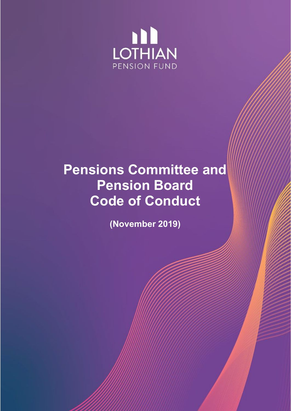

# **Pensions Committee and Pension Board Code of Conduct**

**(November 2019)**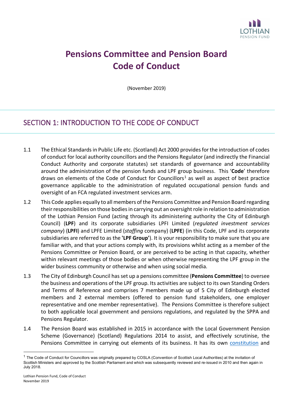

## **Pensions Committee and Pension Board Code of Conduct**

(November 2019)

### SECTION 1: INTRODUCTION TO THE CODE OF CONDUCT

- 1.1 The Ethical Standards in Public Life etc. (Scotland) Act 2000 provides for the introduction of codes of conduct for local authority councillors and the Pensions Regulator (and indirectly the Financial Conduct Authority and corporate statutes) set standards of governance and accountability around the administration of the pension funds and LPF group business. This '**Code**' therefore draws on elements of the Code of Conduct for Councillors<sup>[1](#page-1-0)</sup> as well as aspect of best practice governance applicable to the administration of regulated occupational pension funds and oversight of an FCA regulated investment services arm.
- 1.2 This Code applies equally to all members of the Pensions Committee and Pension Board regarding their responsibilities on those bodies in carrying out an oversight role in relation to administration of the Lothian Pension Fund (acting through its administering authority the City of Edinburgh Council) (**LPF**) and its corporate subsidiaries LPFI Limited (*regulated investment services company*) (**LPFI**) and LPFE Limited (*staffing* company) (**LPFE**) (in this Code, LPF and its corporate subsidiaries are referred to as the **'LPF Group'**). It is your responsibility to make sure that you are familiar with, and that your actions comply with, its provisions whilst acting as a member of the Pensions Committee or Pension Board, or are perceived to be acting in that capacity, whether within relevant meetings of those bodies or when otherwise representing the LPF group in the wider business community or otherwise and when using social media.
- 1.3 The City of Edinburgh Council has set up a pensions committee (**Pensions Committee**) to oversee the business and operations of the LPF group. Its activities are subject to its own Standing Orders and Terms of Reference and comprises 7 members made up of 5 City of Edinburgh elected members and 2 external members (offered to pension fund stakeholders, one employer representative and one member representative). The Pensions Committee is therefore subject to both applicable local government and pensions regulations, and regulated by the SPPA and Pensions Regulator.
- 1.4 The Pension Board was established in 2015 in accordance with the Local Government Pension Scheme (Governance) (Scotland) Regulations 2014 to assist, and effectively scrutinise, the Pensions Committee in carrying out elements of its business. It has its own [constitution](https://www.lpf.org.uk/publications/fund-works-1/1) and

<span id="page-1-0"></span> $1$  The Code of Conduct for Councillors was originally prepared by COSLA (Convention of Scottish Local Authorities) at the invitation of Scottish Ministers and approved by the Scottish Parliament and which was subsequently reviewed and re-issued in 2010 and then again in July 2018.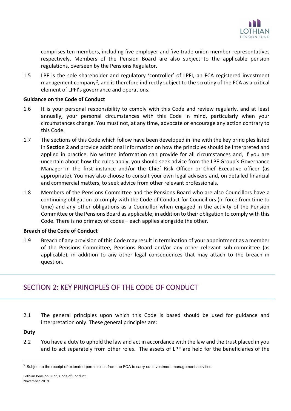

comprises ten members, including five employer and five trade union member representatives respectively. Members of the Pension Board are also subject to the applicable pension regulations, overseen by the Pensions Regulator.

1.5 LPF is the sole shareholder and regulatory 'controller' of LPFI, an FCA registered investment management company<sup>[2](#page-2-0)</sup>, and is therefore indirectly subject to the scrutiny of the FCA as a critical element of LPFI's governance and operations.

### **Guidance on the Code of Conduct**

- 1.6 It is your personal responsibility to comply with this Code and review regularly, and at least annually, your personal circumstances with this Code in mind, particularly when your circumstances change. You must not, at any time, advocate or encourage any action contrary to this Code.
- 1.7 The sections of this Code which follow have been developed in line with the key principles listed in **Section 2** and provide additional information on how the principles should be interpreted and applied in practice. No written information can provide for all circumstances and, if you are uncertain about how the rules apply, you should seek advice from the LPF Group's Governance Manager in the first instance and/or the Chief Risk Officer or Chief Executive officer (as appropriate). You may also choose to consult your own legal advisers and, on detailed financial and commercial matters, to seek advice from other relevant professionals.
- 1.8 Members of the Pensions Committee and the Pensions Board who are also Councillors have a continuing obligation to comply with the Code of Conduct for Councillors (in force from time to time) and any other obligations as a Councillor when engaged in the activity of the Pension Committee or the Pensions Board as applicable, in addition to their obligation to comply with this Code. There is no primacy of codes – each applies alongside the other.

### **Breach of the Code of Conduct**

1.9 Breach of any provision of this Code may result in termination of your appointment as a member of the Pensions Committee, Pensions Board and/or any other relevant sub-committee (as applicable), in addition to any other legal consequences that may attach to the breach in question.

### SECTION 2: KEY PRINCIPLES OF THE CODE OF CONDUCT

2.1 The general principles upon which this Code is based should be used for guidance and interpretation only. These general principles are:

### **Duty**

2.2 You have a duty to uphold the law and act in accordance with the law and the trust placed in you and to act separately from other roles. The assets of LPF are held for the beneficiaries of the

<span id="page-2-0"></span><sup>&</sup>lt;sup>2</sup> Subject to the receipt of extended permissions from the FCA to carry out investment management activities.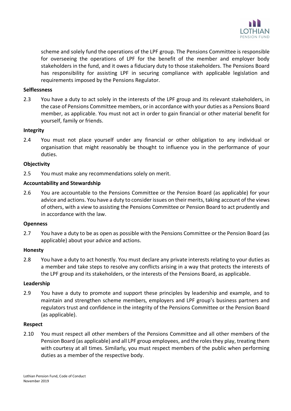

scheme and solely fund the operations of the LPF group. The Pensions Committee is responsible for overseeing the operations of LPF for the benefit of the member and employer body stakeholders in the fund, and it owes a fiduciary duty to those stakeholders. The Pensions Board has responsibility for assisting LPF in securing compliance with applicable legislation and requirements imposed by the Pensions Regulator.

### **Selflessness**

2.3 You have a duty to act solely in the interests of the LPF group and its relevant stakeholders, in the case of Pensions Committee members, or in accordance with your duties as a Pensions Board member, as applicable. You must not act in order to gain financial or other material benefit for yourself, family or friends.

### **Integrity**

2.4 You must not place yourself under any financial or other obligation to any individual or organisation that might reasonably be thought to influence you in the performance of your duties.

### **Objectivity**

2.5 You must make any recommendations solely on merit.

### **Accountability and Stewardship**

2.6 You are accountable to the Pensions Committee or the Pension Board (as applicable) for your advice and actions. You have a duty to consider issues on their merits, taking account of the views of others, with a view to assisting the Pensions Committee or Pension Board to act prudently and in accordance with the law.

#### **Openness**

2.7 You have a duty to be as open as possible with the Pensions Committee or the Pension Board (as applicable) about your advice and actions.

### **Honesty**

2.8 You have a duty to act honestly. You must declare any private interests relating to your duties as a member and take steps to resolve any conflicts arising in a way that protects the interests of the LPF group and its stakeholders, or the interests of the Pensions Board, as applicable.

#### **Leadership**

2.9 You have a duty to promote and support these principles by leadership and example, and to maintain and strengthen scheme members, employers and LPF group's business partners and regulators trust and confidence in the integrity of the Pensions Committee or the Pension Board (as applicable).

#### **Respect**

2.10 You must respect all other members of the Pensions Committee and all other members of the Pension Board (as applicable) and all LPF group employees, and the roles they play, treating them with courtesy at all times. Similarly, you must respect members of the public when performing duties as a member of the respective body.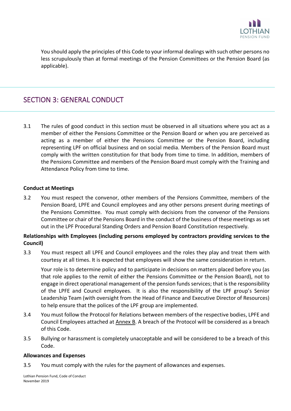

You should apply the principles of this Code to your informal dealings with such other persons no less scrupulously than at formal meetings of the Pension Committees or the Pension Board (as applicable).

### SECTION 3: GENERAL CONDUCT

3.1 The rules of good conduct in this section must be observed in all situations where you act as a member of either the Pensions Committee or the Pension Board or when you are perceived as acting as a member of either the Pensions Committee or the Pension Board, including representing LPF on official business and on social media. Members of the Pension Board must comply with the written constitution for that body from time to time. In addition, members of the Pensions Committee and members of the Pension Board must comply with the Training and Attendance Policy from time to time.

### **Conduct at Meetings**

3.2 You must respect the convenor, other members of the Pensions Committee, members of the Pension Board, LPFE and Council employees and any other persons present during meetings of the Pensions Committee. You must comply with decisions from the convenor of the Pensions Committee or chair of the Pensions Board in the conduct of the business of these meetings as set out in the LPF Procedural Standing Orders and Pension Board Constitution respectively.

### **Relationships with Employees (including persons employed by contractors providing services to the Council)**

3.3 You must respect all LPFE and Council employees and the roles they play and treat them with courtesy at all times. It is expected that employees will show the same consideration in return.

Your role is to determine policy and to participate in decisions on matters placed before you (as that role applies to the remit of either the Pensions Committee or the Pension Board), not to engage in direct operational management of the pension funds services; that is the responsibility of the LPFE and Council employees. It is also the responsibility of the LPF group's Senior Leadership Team (with oversight from the Head of Finance and Executive Director of Resources) to help ensure that the polices of the LPF group are implemented.

- 3.4 You must follow the Protocol for Relations between members of the respective bodies, LPFE and Council Employees attached at Annex B. A breach of the Protocol will be considered as a breach of this Code.
- 3.5 Bullying or harassment is completely unacceptable and will be considered to be a breach of this Code.

### **Allowances and Expenses**

3.5 You must comply with the rules for the payment of allowances and expenses.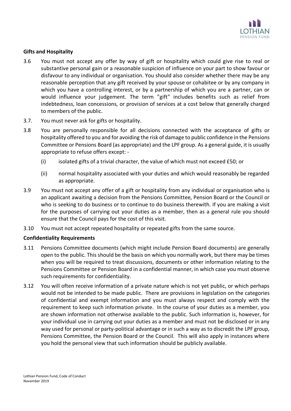

### **Gifts and Hospitality**

- 3.6 You must not accept any offer by way of gift or hospitality which could give rise to real or substantive personal gain or a reasonable suspicion of influence on your part to show favour or disfavour to any individual or organisation. You should also consider whether there may be any reasonable perception that any gift received by your spouse or cohabitee or by any company in which you have a controlling interest, or by a partnership of which you are a partner, can or would influence your judgement. The term "gift" includes benefits such as relief from indebtedness, loan concessions, or provision of services at a cost below that generally charged to members of the public.
- 3.7. You must never ask for gifts or hospitality.
- 3.8 You are personally responsible for all decisions connected with the acceptance of gifts or hospitality offered to you and for avoiding the risk of damage to public confidence in the Pensions Committee or Pensions Board (as appropriate) and the LPF group. As a general guide, it is usually appropriate to refuse offers except: -
	- (i) isolated gifts of a trivial character, the value of which must not exceed £50; or
	- (ii) normal hospitality associated with your duties and which would reasonably be regarded as appropriate.
- 3.9 You must not accept any offer of a gift or hospitality from any individual or organisation who is an applicant awaiting a decision from the Pensions Committee, Pension Board or the Council or who is seeking to do business or to continue to do business therewith. If you are making a visit for the purposes of carrying out your duties as a member, then as a general rule you should ensure that the Council pays for the cost of this visit.
- 3.10 You must not accept repeated hospitality or repeated gifts from the same source.

### **Confidentiality Requirements**

- 3.11 Pensions Committee documents (which might include Pension Board documents) are generally open to the public. This should be the basis on which you normally work, but there may be times when you will be required to treat discussions, documents or other information relating to the Pensions Committee or Pension Board in a confidential manner, in which case you must observe such requirements for confidentiality.
- 3.12 You will often receive information of a private nature which is not yet public, or which perhaps would not be intended to be made public. There are provisions in legislation on the categories of confidential and exempt information and you must always respect and comply with the requirement to keep such information private. In the course of your duties as a member, you are shown information not otherwise available to the public. Such information is, however, for your individual use in carrying out your duties as a member and must not be disclosed or in any way used for personal or party-political advantage or in such a way as to discredit the LPF group, Pensions Committee, the Pension Board or the Council. This will also apply in instances where you hold the personal view that such information should be publicly available.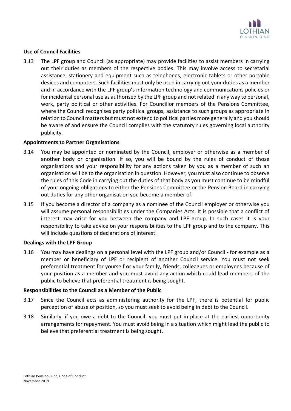

### **Use of Council Facilities**

3.13 The LPF group and Council (as appropriate) may provide facilities to assist members in carrying out their duties as members of the respective bodies. This may involve access to secretarial assistance, stationery and equipment such as telephones, electronic tablets or other portable devices and computers. Such facilities must only be used in carrying out your duties as a member and in accordance with the LPF group's information technology and communications policies or for incidental personal use as authorised by the LPF group and not related in any way to personal, work, party political or other activities. For Councillor members of the Pensions Committee, where the Council recognises party political groups, assistance to such groups as appropriate in relation to Council matters but must not extend to political parties more generally and you should be aware of and ensure the Council complies with the statutory rules governing local authority publicity.

### **Appointments to Partner Organisations**

- 3.14 You may be appointed or nominated by the Council, employer or otherwise as a member of another body or organisation. If so, you will be bound by the rules of conduct of those organisations and your responsibility for any actions taken by you as a member of such an organisation will be to the organisation in question. However, you must also continue to observe the rules of this Code in carrying out the duties of that body as you must continue to be mindful of your ongoing obligations to either the Pensions Committee or the Pension Board in carrying out duties for any other organisation you become a member of.
- 3.15 If you become a director of a company as a nominee of the Council employer or otherwise you will assume personal responsibilities under the Companies Acts. It is possible that a conflict of interest may arise for you between the company and LPF group. In such cases it is your responsibility to take advice on your responsibilities to the LPF group and to the company. This will include questions of declarations of interest.

### **Dealings with the LPF Group**

3.16 You may have dealings on a personal level with the LPF group and/or Council - for example as a member or beneficiary of LPF or recipient of another Council service. You must not seek preferential treatment for yourself or your family, friends, colleagues or employees because of your position as a member and you must avoid any action which could lead members of the public to believe that preferential treatment is being sought.

### **Responsibilities to the Council as a Member of the Public**

- 3.17 Since the Council acts as administering authority for the LPF, there is potential for public perception of abuse of position, so you must seek to avoid being in debt to the Council.
- 3.18 Similarly, if you owe a debt to the Council, you must put in place at the earliest opportunity arrangements for repayment. You must avoid being in a situation which might lead the public to believe that preferential treatment is being sought.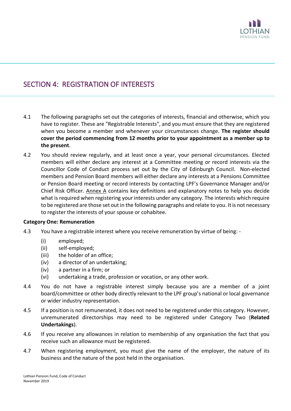

### SECTION 4: REGISTRATION OF INTERESTS

- 4.1 The following paragraphs set out the categories of interests, financial and otherwise, which you have to register. These are "Registrable Interests", and you must ensure that they are registered when you become a member and whenever your circumstances change. **The register should cover the period commencing from 12 months prior to your appointment as a member up to the present**.
- 4.2 You should review regularly, and at least once a year, your personal circumstances. Elected members will either declare any interest at a Committee meeting or record interests via the Councillor Code of Conduct process set out by the City of Edinburgh Council. Non-elected members and Pension Board members will either declare any interests at a Pensions Committee or Pension Board meeting or record interests by contacting LPF's Governance Manager and/or Chief Risk Officer. Annex A contains key definitions and explanatory notes to help you decide what is required when registering your interests under any category. The interests which require to be registered are those set out in the following paragraphs and relate to you. It is not necessary to register the interests of your spouse or cohabitee.

### **Category One: Remuneration**

- 4.3 You have a registrable interest where you receive remuneration by virtue of being:
	- (i) employed;
	- (ii) self-employed;
	- (iii) the holder of an office;
	- (iv) a director of an undertaking;
	- (iv) a partner in a firm; or
	- (vi) undertaking a trade, profession or vocation, or any other work.
- 4.4 You do not have a registrable interest simply because you are a member of a joint board/committee or other body directly relevant to the LPF group's national or local governance or wider industry representation.
- 4.5 If a position is not remunerated, it does not need to be registered under this category. However, unremunerated directorships may need to be registered under Category Two (**Related Undertakings**).
- 4.6 If you receive any allowances in relation to membership of any organisation the fact that you receive such an allowance must be registered.
- 4.7 When registering employment, you must give the name of the employer, the nature of its business and the nature of the post held in the organisation.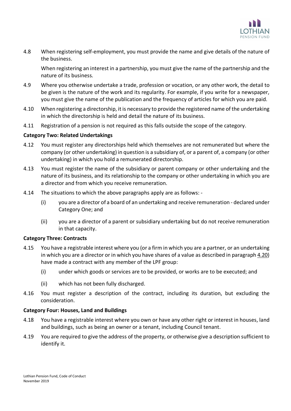

4.8 When registering self-employment, you must provide the name and give details of the nature of the business.

When registering an interest in a partnership, you must give the name of the partnership and the nature of its business.

- 4.9 Where you otherwise undertake a trade, profession or vocation, or any other work, the detail to be given is the nature of the work and its regularity. For example, if you write for a newspaper, you must give the name of the publication and the frequency of articles for which you are paid.
- 4.10 When registering a directorship, it is necessary to provide the registered name of the undertaking in which the directorship is held and detail the nature of its business.
- 4.11 Registration of a pension is not required as this falls outside the scope of the category.

### **Category Two: Related Undertakings**

- 4.12 You must register any directorships held which themselves are not remunerated but where the company (or other undertaking) in question is a subsidiary of, or a parent of, a company (or other undertaking) in which you hold a remunerated directorship.
- 4.13 You must register the name of the subsidiary or parent company or other undertaking and the nature of its business, and its relationship to the company or other undertaking in which you are a director and from which you receive remuneration.
- 4.14 The situations to which the above paragraphs apply are as follows:
	- (i) you are a director of a board of an undertaking and receive remuneration declared under Category One; and
	- (ii) you are a director of a parent or subsidiary undertaking but do not receive remuneration in that capacity.

### **Category Three: Contracts**

- 4.15 You have a registrable interest where you (or a firm in which you are a partner, or an undertaking in which you are a director or in which you have shares of a value as described in paragraph 4.20) have made a contract with any member of the LPF group:
	- (i) under which goods or services are to be provided, or works are to be executed; and
	- (ii) which has not been fully discharged.
- 4.16 You must register a description of the contract, including its duration, but excluding the consideration.

### **Category Four: Houses, Land and Buildings**

- 4.18 You have a registrable interest where you own or have any other right or interest in houses, land and buildings, such as being an owner or a tenant, including Council tenant.
- 4.19 You are required to give the address of the property, or otherwise give a description sufficient to identify it.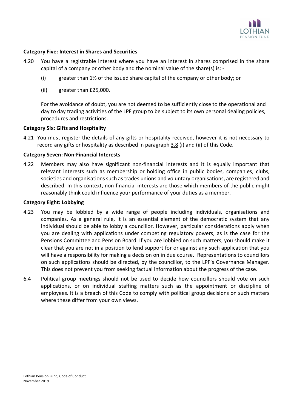

### **Category Five: Interest in Shares and Securities**

- 4.20 You have a registrable interest where you have an interest in shares comprised in the share capital of a company or other body and the nominal value of the share(s) is: -
	- (i) greater than 1% of the issued share capital of the company or other body; or
	- (ii) greater than £25,000.

For the avoidance of doubt, you are not deemed to be sufficiently close to the operational and day to day trading activities of the LPF group to be subject to its own personal dealing policies, procedures and restrictions.

### **Category Six: Gifts and Hospitality**

4.21 You must register the details of any gifts or hospitality received, however it is not necessary to record any gifts or hospitality as described in paragraph 3.8 (i) and (ii) of this Code.

#### **Category Seven: Non-Financial Interests**

4.22 Members may also have significant non-financial interests and it is equally important that relevant interests such as membership or holding office in public bodies, companies, clubs, societies and organisations such as trades unions and voluntary organisations, are registered and described. In this context, non-financial interests are those which members of the public might reasonably think could influence your performance of your duties as a member.

#### **Category Eight: Lobbying**

- 4.23 You may be lobbied by a wide range of people including individuals, organisations and companies. As a general rule, it is an essential element of the democratic system that any individual should be able to lobby a councillor. However, particular considerations apply when you are dealing with applications under competing regulatory powers, as is the case for the Pensions Committee and Pension Board. If you are lobbied on such matters, you should make it clear that you are not in a position to lend support for or against any such application that you will have a responsibility for making a decision on in due course. Representations to councillors on such applications should be directed, by the councillor, to the LPF's Governance Manager. This does not prevent you from seeking factual information about the progress of the case.
- 6.4 Political group meetings should not be used to decide how councillors should vote on such applications, or on individual staffing matters such as the appointment or discipline of employees. It is a breach of this Code to comply with political group decisions on such matters where these differ from your own views.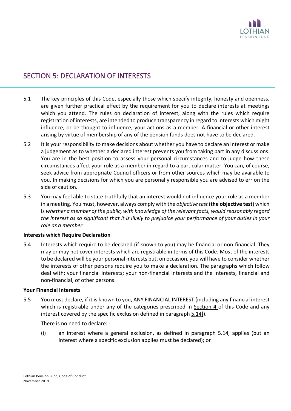

### SECTION 5: DECLARATION OF INTERESTS

- 5.1 The key principles of this Code, especially those which specify integrity, honesty and openness, are given further practical effect by the requirement for you to declare interests at meetings which you attend. The rules on declaration of interest, along with the rules which require registration of interests, are intended to produce transparency in regard to interests which might influence, or be thought to influence, your actions as a member. A financial or other interest arising by virtue of membership of any of the pension funds does not have to be declared.
- 5.2 It is your responsibility to make decisions about whether you have to declare an interest or make a judgement as to whether a declared interest prevents you from taking part in any discussions. You are in the best position to assess your personal circumstances and to judge how these circumstances affect your role as a member in regard to a particular matter. You can, of course, seek advice from appropriate Council officers or from other sources which may be available to you. In making decisions for which you are personally responsible you are advised to err on the side of caution.
- 5.3 You may feel able to state truthfully that an interest would not influence your role as a member in a meeting. You must, however, always comply with the *objective test* (**the objective test**) which is *whether a member of the public, with knowledge of the relevant facts, would reasonably regard the interest as so significant that it is likely to prejudice your performance of your duties in your role as a member*.

### **Interests which Require Declaration**

5.4 Interests which require to be declared (if known to you) may be financial or non-financial. They may or may not cover interests which are registrable in terms of this Code. Most of the interests to be declared will be your personal interests but, on occasion, you will have to consider whether the interests of other persons require you to make a declaration. The paragraphs which follow deal with; your financial interests; your non-financial interests and the interests, financial and non-financial, of other persons.

#### **Your Financial Interests**

5.5 You must declare, if it is known to you, ANY FINANCIAL INTEREST (including any financial interest which is registrable under any of the categories prescribed in Section 4 of this Code and any interest covered by the specific exclusion defined in paragraph 5.14]).

There is no need to declare: -

(i) an interest where a general exclusion, as defined in paragraph 5.14, applies (but an interest where a specific exclusion applies must be declared); or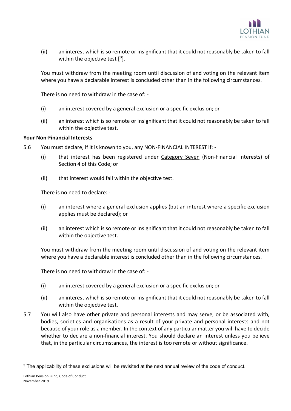

(ii) an interest which is so remote or insignificant that it could not reasonably be taken to fall within the objective test [ **[3](#page-11-0)** ].

You must withdraw from the meeting room until discussion of and voting on the relevant item where you have a declarable interest is concluded other than in the following circumstances.

There is no need to withdraw in the case of: -

- (i) an interest covered by a general exclusion or a specific exclusion; or
- (ii) an interest which is so remote or insignificant that it could not reasonably be taken to fall within the objective test.

### **Your Non-Financial Interests**

- 5.6 You must declare, if it is known to you, any NON-FINANCIAL INTEREST if:
	- (i) that interest has been registered under Category Seven (Non-Financial Interests) of Section 4 of this Code; or
	- (ii) that interest would fall within the objective test.

There is no need to declare: -

- (i) an interest where a general exclusion applies (but an interest where a specific exclusion applies must be declared); or
- (ii) an interest which is so remote or insignificant that it could not reasonably be taken to fall within the objective test.

You must withdraw from the meeting room until discussion of and voting on the relevant item where you have a declarable interest is concluded other than in the following circumstances.

There is no need to withdraw in the case of: -

- (i) an interest covered by a general exclusion or a specific exclusion; or
- (ii) an interest which is so remote or insignificant that it could not reasonably be taken to fall within the objective test.
- 5.7 You will also have other private and personal interests and may serve, or be associated with, bodies, societies and organisations as a result of your private and personal interests and not because of your role as a member. In the context of any particular matter you will have to decide whether to declare a non-financial interest. You should declare an interest unless you believe that, in the particular circumstances, the interest is too remote or without significance.

<span id="page-11-0"></span><sup>&</sup>lt;sup>3</sup> The applicability of these exclusions will be revisited at the next annual review of the code of conduct.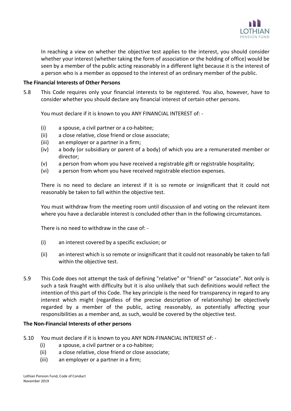

In reaching a view on whether the objective test applies to the interest, you should consider whether your interest (whether taking the form of association or the holding of office) would be seen by a member of the public acting reasonably in a different light because it is the interest of a person who is a member as opposed to the interest of an ordinary member of the public.

### **The Financial Interests of Other Persons**

5.8 This Code requires only your financial interests to be registered. You also, however, have to consider whether you should declare any financial interest of certain other persons.

You must declare if it is known to you ANY FINANCIAL INTEREST of: -

- (i) a spouse, a civil partner or a co-habitee;
- (ii) a close relative, close friend or close associate;
- (iii) an employer or a partner in a firm;
- (iv) a body (or subsidiary or parent of a body) of which you are a remunerated member or director;
- (v) a person from whom you have received a registrable gift or registrable hospitality;
- (vi) a person from whom you have received registrable election expenses.

There is no need to declare an interest if it is so remote or insignificant that it could not reasonably be taken to fall within the objective test.

You must withdraw from the meeting room until discussion of and voting on the relevant item where you have a declarable interest is concluded other than in the following circumstances.

There is no need to withdraw in the case of: -

- (i) an interest covered by a specific exclusion; or
- (ii) an interest which is so remote or insignificant that it could not reasonably be taken to fall within the objective test.
- 5.9 This Code does not attempt the task of defining "relative" or "friend" or "associate". Not only is such a task fraught with difficulty but it is also unlikely that such definitions would reflect the intention of this part of this Code. The key principle is the need for transparency in regard to any interest which might (regardless of the precise description of relationship) be objectively regarded by a member of the public, acting reasonably, as potentially affecting your responsibilities as a member and, as such, would be covered by the objective test.

### **The Non-Financial Interests of other persons**

- 5.10 You must declare if it is known to you ANY NON-FINANCIAL INTEREST of:
	- (i) a spouse, a civil partner or a co-habitee;
	- (ii) a close relative, close friend or close associate;
	- (iii) an employer or a partner in a firm;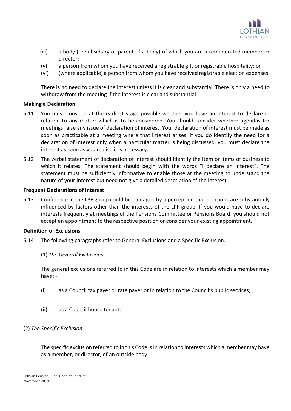

- (iv) a body (or subsidiary or parent of a body) of which you are a remunerated member or director;
- (v) a person from whom you have received a registrable gift or registrable hospitality; or
- (vi) (where applicable) a person from whom you have received registrable election expenses.

There is no need to declare the interest unless it is clear and substantial. There is only a need to withdraw from the meeting if the interest is clear and substantial.

### **Making a Declaration**

- 5.11 You must consider at the earliest stage possible whether you have an interest to declare in relation to any matter which is to be considered. You should consider whether agendas for meetings raise any issue of declaration of interest. Your declaration of interest must be made as soon as practicable at a meeting where that interest arises. If you do identify the need for a declaration of interest only when a particular matter is being discussed, you must declare the interest as soon as you realise it is necessary.
- 5.12 The verbal statement of declaration of interest should identify the item or items of business to which it relates. The statement should begin with the words "I declare an interest". The statement must be sufficiently informative to enable those at the meeting to understand the nature of your interest but need not give a detailed description of the interest.

### **Frequent Declarations of Interest**

5.13 Confidence in the LPF group could be damaged by a perception that decisions are substantially influenced by factors other than the interests of the LPF group. If you would have to declare interests frequently at meetings of the Pensions Committee or Pensions Board, you should not accept an appointment to the respective position or consider your existing appointment.

### **Definition of Exclusions**

5.14 The following paragraphs refer to General Exclusions and a Specific Exclusion.

### (1) *The General Exclusions*

The general exclusions referred to in this Code are in relation to interests which a member may have: -

- (i) as a Council tax payer or rate payer or in relation to the Council's public services;
- (ii) as a Council house tenant.

### (2) *The Specific Exclusion*

The specific exclusion referred to in this Code is in relation to interests which a member may have as a member, or director, of an outside body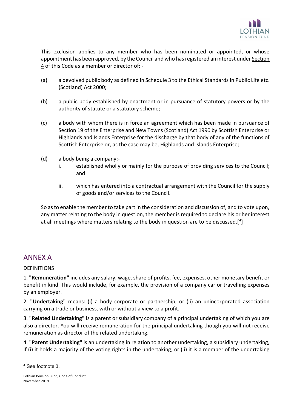

This exclusion applies to any member who has been nominated or appointed, or whose appointment has been approved, by the Council and who has registered an interest under Section 4 of this Code as a member or director of: -

- (a) a devolved public body as defined in Schedule 3 to the Ethical Standards in Public Life etc. (Scotland) Act 2000;
- (b) a public body established by enactment or in pursuance of statutory powers or by the authority of statute or a statutory scheme;
- (c) a body with whom there is in force an agreement which has been made in pursuance of Section 19 of the Enterprise and New Towns (Scotland) Act 1990 by Scottish Enterprise or Highlands and Islands Enterprise for the discharge by that body of any of the functions of Scottish Enterprise or, as the case may be, Highlands and Islands Enterprise;
- (d) a body being a company:
	- i. established wholly or mainly for the purpose of providing services to the Council; and
	- ii. which has entered into a contractual arrangement with the Council for the supply of goods and/or services to the Council.

So as to enable the member to take part in the consideration and discussion of, and to vote upon, any matter relating to the body in question, the member is required to declare his or her interest at all meetings where matters relating to the body in question are to be discussed.[[4\]](#page-14-0)

### ANNEX A

### DEFINITIONS

1. **"Remuneration"** includes any salary, wage, share of profits, fee, expenses, other monetary benefit or benefit in kind. This would include, for example, the provision of a company car or travelling expenses by an employer.

2. **"Undertaking"** means: (i) a body corporate or partnership; or (ii) an unincorporated association carrying on a trade or business, with or without a view to a profit.

3. **"Related Undertaking"** is a parent or subsidiary company of a principal undertaking of which you are also a director. You will receive remuneration for the principal undertaking though you will not receive remuneration as director of the related undertaking.

4. **"Parent Undertaking"** is an undertaking in relation to another undertaking, a subsidiary undertaking, if (i) it holds a majority of the voting rights in the undertaking; or (ii) it is a member of the undertaking

<span id="page-14-0"></span><sup>4</sup> See footnote 3.

Lothian Pension Fund, Code of Conduct November 2019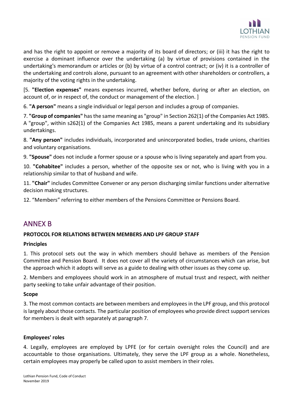

and has the right to appoint or remove a majority of its board of directors; or (iii) it has the right to exercise a dominant influence over the undertaking (a) by virtue of provisions contained in the undertaking's memorandum or articles or (b) by virtue of a control contract; or (iv) it is a controller of the undertaking and controls alone, pursuant to an agreement with other shareholders or controllers, a majority of the voting rights in the undertaking.

[5. **"Election expenses"** means expenses incurred, whether before, during or after an election, on account of, or in respect of, the conduct or management of the election. ]

6. **"A person"** means a single individual or legal person and includes a group of companies.

7. **"Group of companies"** has the same meaning as "group" in Section 262(1) of the Companies Act 1985. A "group", within s262(1) of the Companies Act 1985, means a parent undertaking and its subsidiary undertakings.

8. **"Any person"** includes individuals, incorporated and unincorporated bodies, trade unions, charities and voluntary organisations.

9. **"Spouse"** does not include a former spouse or a spouse who is living separately and apart from you.

10. **"Cohabitee"** includes a person, whether of the opposite sex or not, who is living with you in a relationship similar to that of husband and wife.

11. **"Chair"** includes Committee Convener or any person discharging similar functions under alternative decision making structures.

12. "Members" referring to either members of the Pensions Committee or Pensions Board.

### ANNEX B

### **PROTOCOL FOR RELATIONS BETWEEN MEMBERS AND LPF GROUP STAFF**

### **Principles**

1. This protocol sets out the way in which members should behave as members of the Pension Committee and Pension Board. It does not cover all the variety of circumstances which can arise, but the approach which it adopts will serve as a guide to dealing with other issues as they come up.

2. Members and employees should work in an atmosphere of mutual trust and respect, with neither party seeking to take unfair advantage of their position.

### **Scope**

3. The most common contacts are between members and employees in the LPF group, and this protocol is largely about those contacts. The particular position of employees who provide direct support services for members is dealt with separately at paragraph 7.

### **Employees' roles**

4. Legally, employees are employed by LPFE (or for certain oversight roles the Council) and are accountable to those organisations. Ultimately, they serve the LPF group as a whole. Nonetheless, certain employees may properly be called upon to assist members in their roles.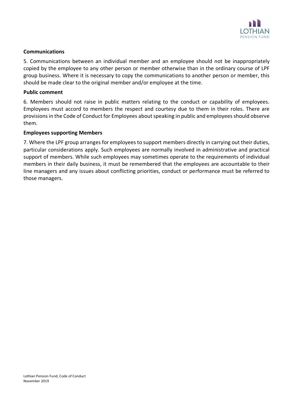

### **Communications**

5. Communications between an individual member and an employee should not be inappropriately copied by the employee to any other person or member otherwise than in the ordinary course of LPF group business. Where it is necessary to copy the communications to another person or member, this should be made clear to the original member and/or employee at the time.

### **Public comment**

6. Members should not raise in public matters relating to the conduct or capability of employees. Employees must accord to members the respect and courtesy due to them in their roles. There are provisions in the Code of Conduct for Employees about speaking in public and employees should observe them.

### **Employees supporting Members**

7. Where the LPF group arranges for employees to support members directly in carrying out their duties, particular considerations apply. Such employees are normally involved in administrative and practical support of members. While such employees may sometimes operate to the requirements of individual members in their daily business, it must be remembered that the employees are accountable to their line managers and any issues about conflicting priorities, conduct or performance must be referred to those managers.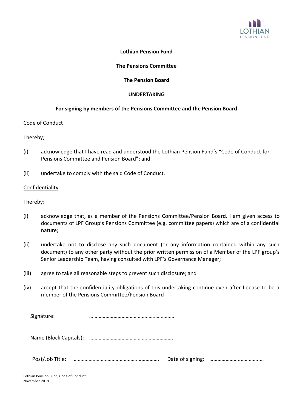

### **Lothian Pension Fund**

### **The Pensions Committee**

### **The Pension Board**

### **UNDERTAKING**

### **For signing by members of the Pensions Committee and the Pension Board**

### Code of Conduct

### I hereby;

- (i) acknowledge that I have read and understood the Lothian Pension Fund's "Code of Conduct for Pensions Committee and Pension Board"; and
- (ii) undertake to comply with the said Code of Conduct.

### Confidentiality

I hereby;

- (i) acknowledge that, as a member of the Pensions Committee/Pension Board, I am given access to documents of LPF Group's Pensions Committee (e.g. committee papers) which are of a confidential nature;
- (ii) undertake not to disclose any such document (or any information contained within any such document) to any other party without the prior written permission of a Member of the LPF group's Senior Leadership Team, having consulted with LPF's Governance Manager;
- (iii) agree to take all reasonable steps to prevent such disclosure; and
- (iv) accept that the confidentiality obligations of this undertaking continue even after I cease to be a member of the Pensions Committee/Pension Board

Signature: **manual contracts with the contracts with the state of the state of the state of the state of the state of the state of the state of the state of the state of the state of the state of the state of the state** 

Name (Block Capitals): ……………………………………….…………….

Post/Job Title: …………………………….………….……………. Date of signing: …………………..…………..…

Lothian Pension Fund, Code of Conduct November 2019